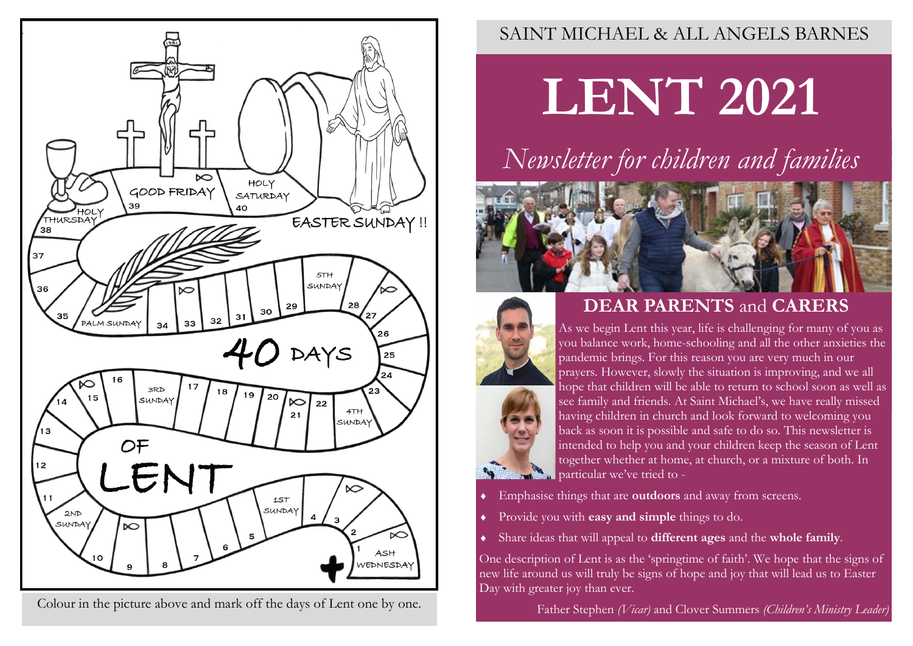

Colour in the picture above and mark off the days of Lent one by one.

### SAINT MICHAEL & ALL ANGELS BARNES

**LENT 2021**

# *Newsletter for children and families*



# **DEAR PARENTS** and **CARERS**



As we begin Lent this year, life is challenging for many of you as you balance work, home-schooling and all the other anxieties the pandemic brings. For this reason you are very much in our prayers. However, slowly the situation is improving, and we all hope that children will be able to return to school soon as well as see family and friends. At Saint Michael's, we have really missed having children in church and look forward to welcoming you back as soon it is possible and safe to do so. This newsletter is intended to help you and your children keep the season of Lent together whether at home, at church, or a mixture of both. In particular we've tried to -

- Emphasise things that are **outdoors** and away from screens.
- Provide you with **easy and simple** things to do.
- Share ideas that will appeal to **different ages** and the **whole family**.

One description of Lent is as the 'springtime of faith'. We hope that the signs of new life around us will truly be signs of hope and joy that will lead us to Easter Day with greater joy than ever.

Father Stephen *(Vicar)* and Clover Summers *(Children's Ministry Leader)*